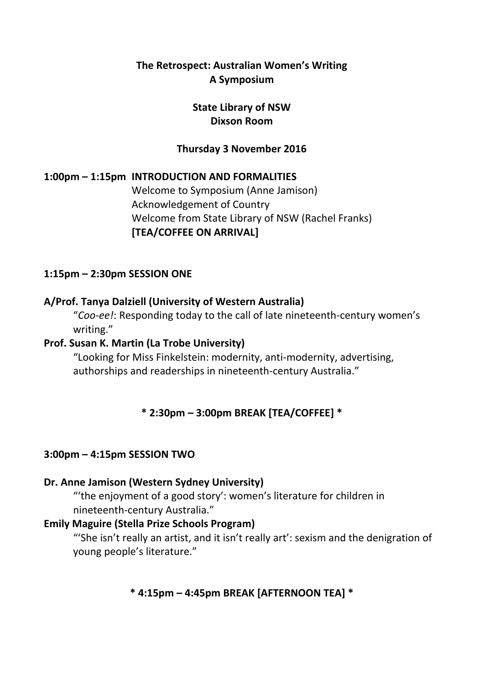# **The Retrospect: Australian Women's Writing A Symposium**

## **State Library of NSW Dixson Room**

## **Thursday 3 November 2016**

## **1:00pm – 1:15pm INTRODUCTION AND FORMALITIES**

Welcome to Symposium (Anne Jamison) Acknowledgement of Country Welcome from State Library of NSW (Rachel Franks) **[TEA/COFFEE ON ARRIVAL]**

## **1:15pm – 2:30pm SESSION ONE**

### **A/Prof. Tanya Dalziell (University of Western Australia)**

"*Coo-ee!*: Responding today to the call of late nineteenth-century women's writing."

#### **Prof. Susan K. Martin (La Trobe University)**

"Looking for Miss Finkelstein: modernity, anti-modernity, advertising, authorships and readerships in nineteenth-century Australia."

### **\* 2:30pm – 3:00pm BREAK [TEA/COFFEE] \***

### **3:00pm – 4:15pm SESSION TWO**

#### **Dr. Anne Jamison (Western Sydney University)**

"'the enjoyment of a good story': women's literature for children in nineteenth-century Australia."

#### **Emily Maguire (Stella Prize Schools Program)**

"'She isn't really an artist, and it isn't really art': sexism and the denigration of young people's literature."

### **\* 4:15pm – 4:45pm BREAK [AFTERNOON TEA] \***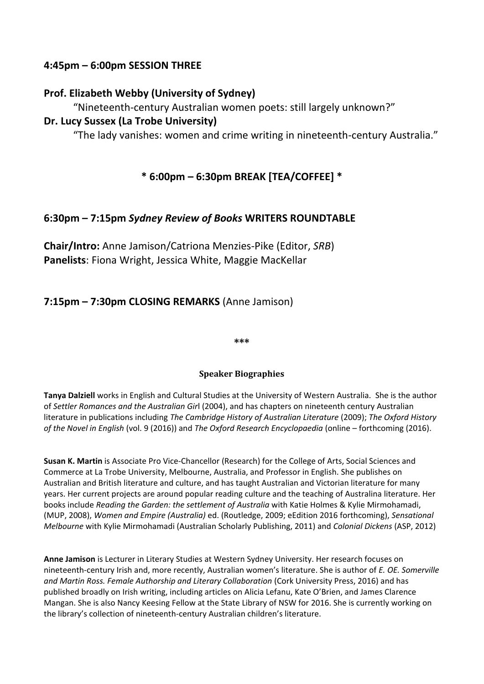### **4:45pm – 6:00pm SESSION THREE**

#### **Prof. Elizabeth Webby (University of Sydney)**

"Nineteenth-century Australian women poets: still largely unknown?"

### **Dr. Lucy Sussex (La Trobe University)**

"The lady vanishes: women and crime writing in nineteenth-century Australia."

## **\* 6:00pm – 6:30pm BREAK [TEA/COFFEE] \***

### **6:30pm – 7:15pm** *Sydney Review of Books* **WRITERS ROUNDTABLE**

**Chair/Intro:** Anne Jamison/Catriona Menzies-Pike (Editor, *SRB*) **Panelists**: Fiona Wright, Jessica White, Maggie MacKellar

## **7:15pm – 7:30pm CLOSING REMARKS** (Anne Jamison)

**\*\*\***

#### **Speaker Biographies**

**Tanya Dalziell** works in English and Cultural Studies at the University of Western Australia. She is the author of *Settler Romances and the Australian Gir*l (2004), and has chapters on nineteenth century Australian literature in publications including *The Cambridge History of Australian Literature* (2009); *The Oxford History of the Novel in English* (vol. 9 (2016)) and *The Oxford Research Encyclopaedia* (online – forthcoming (2016).

**Susan K. Martin** is Associate Pro Vice-Chancellor (Research) for the College of Arts, Social Sciences and Commerce at La Trobe University, Melbourne, Australia, and Professor in English. She publishes on Australian and British literature and culture, and has taught Australian and Victorian literature for many years. Her current projects are around popular reading culture and the teaching of Australina literature. Her books include *Reading the Garden: the settlement of Australia* with Katie Holmes & Kylie Mirmohamadi, (MUP, 2008), *Women and Empire (Australia)* ed. (Routledge, 2009; eEdition 2016 forthcoming), *Sensational Melbourne* with Kylie Mirmohamadi (Australian Scholarly Publishing, 2011) and *Colonial Dickens* (ASP, 2012)

**Anne Jamison** is Lecturer in Literary Studies at Western Sydney University. Her research focuses on nineteenth-century Irish and, more recently, Australian women's literature. She is author of *E. OE. Somerville and Martin Ross. Female Authorship and Literary Collaboration* (Cork University Press, 2016) and has published broadly on Irish writing, including articles on Alicia Lefanu, Kate O'Brien, and James Clarence Mangan. She is also Nancy Keesing Fellow at the State Library of NSW for 2016. She is currently working on the library's collection of nineteenth-century Australian children's literature.